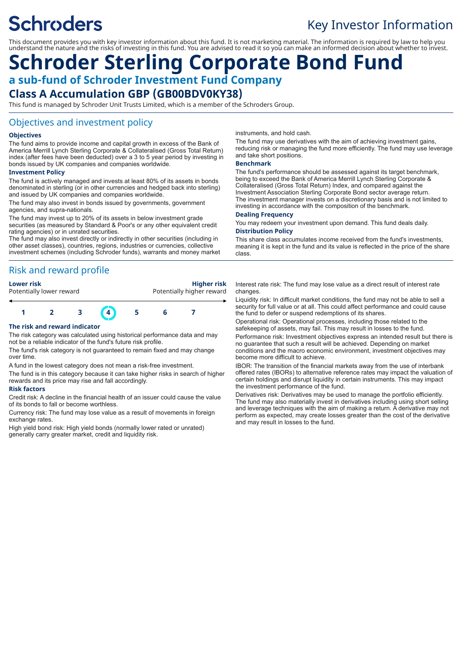# **Schroders**

# Key Investor Information

This document provides you with key investor information about this fund. It is not marketing material. The information is required by law to help you understand the nature and the risks of investing in this fund. You are advised to read it so you can make an informed decision about whether to invest.

# **Schroder Sterling Corporate Bond Fund a sub-fund of Schroder Investment Fund Company Class A Accumulation GBP (GB00BDV0KY38)**

This fund is managed by Schroder Unit Trusts Limited, which is a member of the Schroders Group.

### Objectives and investment policy

#### **Objectives**

The fund aims to provide income and capital growth in excess of the Bank of America Merrill Lynch Sterling Corporate & Collateralised (Gross Total Return) index (after fees have been deducted) over a 3 to 5 year period by investing in bonds issued by UK companies and companies worldwide.

#### **Investment Policy**

The fund is actively managed and invests at least 80% of its assets in bonds denominated in sterling (or in other currencies and hedged back into sterling) and issued by UK companies and companies worldwide.

The fund may also invest in bonds issued by governments, government agencies, and supra-nationals.

The fund may invest up to 20% of its assets in below investment grade securities (as measured by Standard & Poor's or any other equivalent credit rating agencies) or in unrated securities.

The fund may also invest directly or indirectly in other securities (including in other asset classes), countries, regions, industries or currencies, collective investment schemes (including Schroder funds), warrants and money market

# Risk and reward profile

#### **Lower risk Higher risk**

Potentially lower reward **Potentially higher reward** 



#### **The risk and reward indicator**

The risk category was calculated using historical performance data and may not be a reliable indicator of the fund's future risk profile.

The fund's risk category is not guaranteed to remain fixed and may change over time.

A fund in the lowest category does not mean a risk-free investment.

The fund is in this category because it can take higher risks in search of higher rewards and its price may rise and fall accordingly.

#### **Risk factors**

Credit risk: A decline in the financial health of an issuer could cause the value of its bonds to fall or become worthless.

Currency risk: The fund may lose value as a result of movements in foreign exchange rates.

High yield bond risk: High yield bonds (normally lower rated or unrated) generally carry greater market, credit and liquidity risk.

instruments, and hold cash.

The fund may use derivatives with the aim of achieving investment gains, reducing risk or managing the fund more efficiently. The fund may use leverage and take short positions.

#### **Benchmark**

The fund's performance should be assessed against its target benchmark, being to exceed the Bank of America Merrill Lynch Sterling Corporate & Collateralised (Gross Total Return) Index, and compared against the Investment Association Sterling Corporate Bond sector average return. The investment manager invests on a discretionary basis and is not limited to investing in accordance with the composition of the benchmark.

#### **Dealing Frequency**

You may redeem your investment upon demand. This fund deals daily. **Distribution Policy**

This share class accumulates income received from the fund's investments, meaning it is kept in the fund and its value is reflected in the price of the share class.

Interest rate risk: The fund may lose value as a direct result of interest rate changes.

Liquidity risk: In difficult market conditions, the fund may not be able to sell a security for full value or at all. This could affect performance and could cause the fund to defer or suspend redemptions of its shares.

Operational risk: Operational processes, including those related to the safekeeping of assets, may fail. This may result in losses to the fund.

Performance risk: Investment objectives express an intended result but there is no guarantee that such a result will be achieved. Depending on market conditions and the macro economic environment, investment objectives may become more difficult to achieve.

IBOR: The transition of the financial markets away from the use of interbank offered rates (IBORs) to alternative reference rates may impact the valuation of certain holdings and disrupt liquidity in certain instruments. This may impact the investment performance of the fund.

Derivatives risk: Derivatives may be used to manage the portfolio efficiently. The fund may also materially invest in derivatives including using short selling and leverage techniques with the aim of making a return. A derivative may not perform as expected, may create losses greater than the cost of the derivative and may result in losses to the fund.